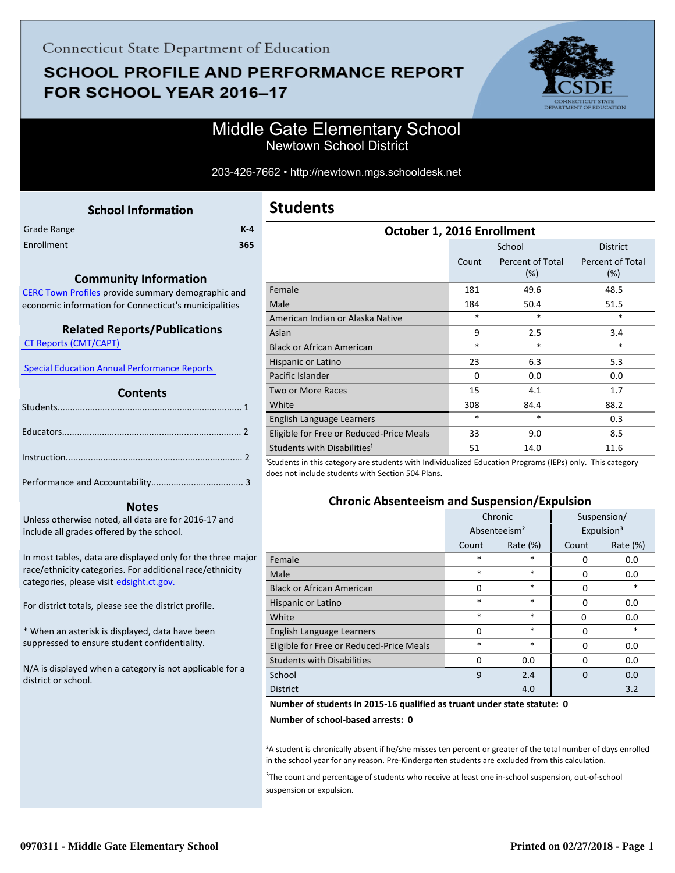# **SCHOOL PROFILE AND PERFORMANCE REPORT** FOR SCHOOL YEAR 2016-17



## Middle Gate Elementary School Newtown School District

#### 203-426-7662 • http://newtown.mgs.schooldesk.net

### **School Information**

<span id="page-0-0"></span>

| Grade Range | $K-4$ |
|-------------|-------|
| Enrollment  | 365   |

#### **Community Information**

[CERC Town Profiles provide summary demographic and](http://www.cerc.com/townprofiles/) economic information for Connecticut's municipalities

#### **Related Reports/Publications**

 [CT Reports \(CMT/CAPT\)](http://ctreports.com/) 

 [Special Education Annual Performance Reports](http://edsight.ct.gov/SASPortal/main.do) 

#### **Contents**

#### **Notes**

Unless otherwise noted, all data are for 2016-17 and include all grades offered by the school.

[In most tables, data are displayed only for the three major](http://edsight.ct.gov/) race/ethnicity categories. For additional race/ethnicity categories, please visit edsight.ct.gov.

For district totals, please see the district profile.

\* When an asterisk is displayed, data have been suppressed to ensure student confidentiality.

N/A is displayed when a category is not applicable for a district or school.

| October 1, 2016 Enrollment               |          |                            |                                |  |  |
|------------------------------------------|----------|----------------------------|--------------------------------|--|--|
|                                          |          | <b>District</b>            |                                |  |  |
|                                          | Count    | Percent of Total<br>$(\%)$ | <b>Percent of Total</b><br>(%) |  |  |
| Female                                   | 181      | 49.6                       | 48.5                           |  |  |
| Male                                     | 184      | 50.4                       | 51.5                           |  |  |
| American Indian or Alaska Native         | $\ast$   | $\ast$                     | *                              |  |  |
| Asian                                    | 9        | 2.5                        | 3.4                            |  |  |
| <b>Black or African American</b>         | $\ast$   | $\ast$                     | $\ast$                         |  |  |
| Hispanic or Latino                       | 23       | 6.3                        | 5.3                            |  |  |
| Pacific Islander                         | $\Omega$ | 0.0                        | 0.0                            |  |  |
| <b>Two or More Races</b>                 | 15       | 4.1                        | 1.7                            |  |  |
| White                                    | 308      | 84.4                       | 88.2                           |  |  |
| English Language Learners                | $\ast$   | $\ast$                     | 0.3                            |  |  |
| Eligible for Free or Reduced-Price Meals | 33       | 9.0                        | 8.5                            |  |  |
| Students with Disabilities <sup>1</sup>  | 51       | 14.0<br>$\cdots$           | 11.6                           |  |  |

<sup>1</sup>Students in this category are students with Individualized Education Programs (IEPs) only. This category does not include students with Section 504 Plans.

#### **Chronic Absenteeism and Suspension/Expulsion**

|                                          | Chronic                  |             | Suspension/ |                        |
|------------------------------------------|--------------------------|-------------|-------------|------------------------|
|                                          | Absenteeism <sup>2</sup> |             |             | Expulsion <sup>3</sup> |
|                                          | Count                    | Rate $(\%)$ | Count       | Rate $(\%)$            |
| Female                                   | *                        | $\ast$      | 0           | 0.0                    |
| Male                                     | $\ast$                   | $\ast$      | $\Omega$    | 0.0                    |
| <b>Black or African American</b>         | $\Omega$                 | $\ast$      | $\Omega$    | *                      |
| Hispanic or Latino                       | $\ast$                   | $\ast$      | 0           | 0.0                    |
| White                                    | $\ast$                   | $\ast$      | 0           | 0.0                    |
| English Language Learners                | $\Omega$                 | $\ast$      | 0           | *                      |
| Eligible for Free or Reduced-Price Meals | $\ast$                   | $\ast$      | 0           | 0.0                    |
| <b>Students with Disabilities</b>        | $\Omega$                 | 0.0         | $\Omega$    | 0.0                    |
| School                                   | 9                        | 2.4         | $\Omega$    | 0.0                    |
| <b>District</b>                          |                          | 4.0         |             | 3.2                    |

#### **Number of students in 2015-16 qualified as truant under state statute: 0**

**Number of school-based arrests: 0**

²A student is chronically absent if he/she misses ten percent or greater of the total number of days enrolled in the school year for any reason. Pre-Kindergarten students are excluded from this calculation.

<sup>3</sup>The count and percentage of students who receive at least one in-school suspension, out-of-school suspension or expulsion.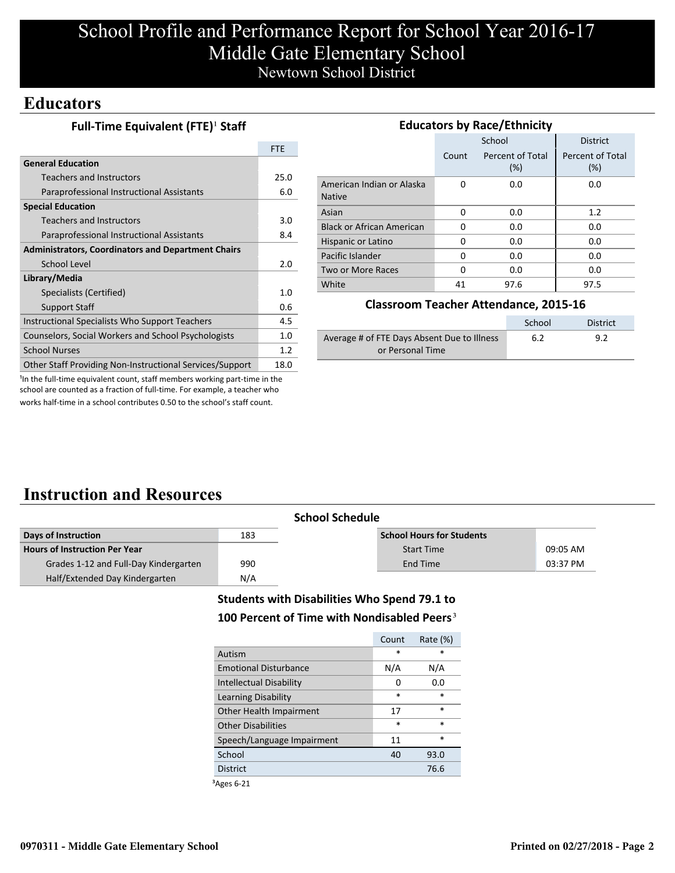# School Profile and Performance Report for School Year 2016-17 Middle Gate Elementary School Newtown School District

## **Educators**

|  | Full-Time Equivalent (FTE) <sup>1</sup> Staff |  |
|--|-----------------------------------------------|--|
|--|-----------------------------------------------|--|

|                                                           | <b>FTE</b> |
|-----------------------------------------------------------|------------|
| <b>General Education</b>                                  |            |
| Teachers and Instructors                                  | 25.0       |
| Paraprofessional Instructional Assistants                 | 6.0        |
| <b>Special Education</b>                                  |            |
| Teachers and Instructors                                  | 3.0        |
| Paraprofessional Instructional Assistants                 | 8.4        |
| <b>Administrators, Coordinators and Department Chairs</b> |            |
| School Level                                              | 2.0        |
| Library/Media                                             |            |
| Specialists (Certified)                                   | 1.0        |
| <b>Support Staff</b>                                      | 0.6        |
| Instructional Specialists Who Support Teachers            | 4.5        |
| Counselors, Social Workers and School Psychologists       | 1.0        |
| <b>School Nurses</b>                                      | 1.2        |
| Other Staff Providing Non-Instructional Services/Support  | 18.0       |

| <b>Educators by Race/Ethnicity</b>         |       |                         |                         |  |  |
|--------------------------------------------|-------|-------------------------|-------------------------|--|--|
|                                            |       | School                  | <b>District</b>         |  |  |
|                                            | Count | Percent of Total<br>(%) | Percent of Total<br>(%) |  |  |
| American Indian or Alaska<br><b>Native</b> | O     | 0.0                     | 0.0                     |  |  |
| Asian                                      | 0     | 0.0                     | 1.2                     |  |  |
| <b>Black or African American</b>           | O     | 0.0                     | 0.0                     |  |  |
| Hispanic or Latino                         | 0     | 0.0                     | 0.0                     |  |  |
| Pacific Islander                           | 0     | 0.0                     | 0.0                     |  |  |
| Two or More Races                          | 0     | 0.0                     | 0.0                     |  |  |
| White                                      | 41    | 97.6                    | 97.5                    |  |  |

#### **Classroom Teacher Attendance, 2015-16**

|                                             | School | District |
|---------------------------------------------|--------|----------|
| Average # of FTE Days Absent Due to Illness | 6.2    | 9.2      |
| or Personal Time                            |        |          |

<sup>1</sup>In the full-time equivalent count, staff members working part-time in the school are counted as a fraction of full-time. For example, a teacher who works half-time in a school contributes 0.50 to the school's staff count.

## **Instruction and Resources**

|                                       |     | <b>School Schedule</b>           |          |
|---------------------------------------|-----|----------------------------------|----------|
| Days of Instruction                   | 183 | <b>School Hours for Students</b> |          |
| <b>Hours of Instruction Per Year</b>  |     | <b>Start Time</b>                | 09:05 AM |
| Grades 1-12 and Full-Day Kindergarten | 990 | End Time                         | 03:37 PM |
| Half/Extended Day Kindergarten        | N/A |                                  |          |

### **Students with Disabilities Who Spend 79.1 to** 100 Percent of Time with Nondisabled Peers<sup>3</sup>

| $\ast$ |
|--------|
|        |
| N/A    |
| 0.0    |
| $\ast$ |
| $\ast$ |
| $\ast$ |
| $\ast$ |
| 93.0   |
| 76.6   |
|        |

³Ages 6-21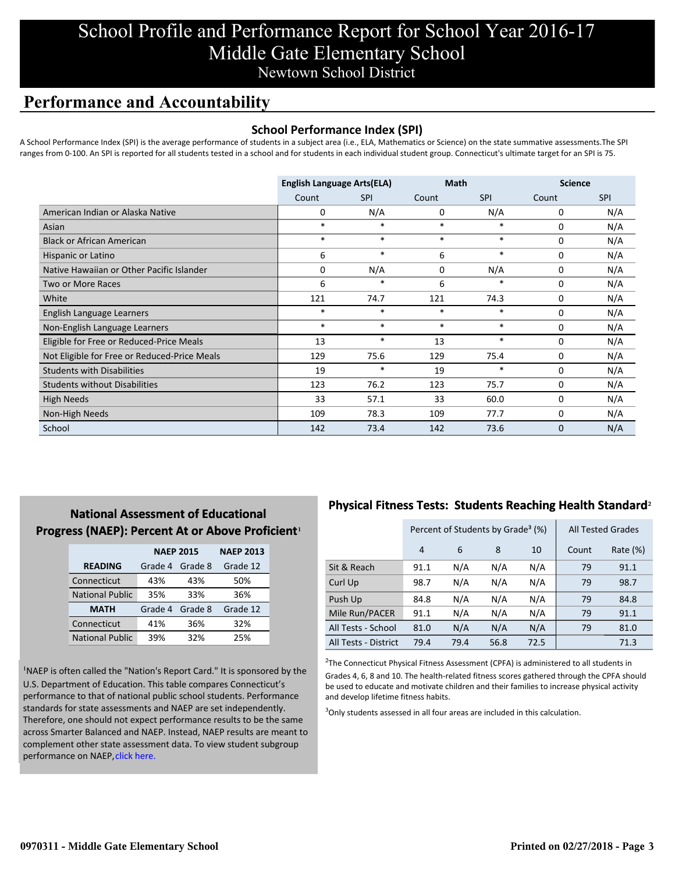# School Profile and Performance Report for School Year 2016-17 Middle Gate Elementary School Newtown School District

## **Performance and Accountability**

### **School Performance Index (SPI)**

A School Performance Index (SPI) is the average performance of students in a subject area (i.e., ELA, Mathematics or Science) on the state summative assessments.The SPI ranges from 0-100. An SPI is reported for all students tested in a school and for students in each individual student group. Connecticut's ultimate target for an SPI is 75.

|                                              | <b>English Language Arts(ELA)</b> |            | <b>Math</b> |            | <b>Science</b> |            |
|----------------------------------------------|-----------------------------------|------------|-------------|------------|----------------|------------|
|                                              | Count                             | <b>SPI</b> | Count       | <b>SPI</b> | Count          | <b>SPI</b> |
| American Indian or Alaska Native             | 0                                 | N/A        | 0           | N/A        | 0              | N/A        |
| Asian                                        | $\ast$                            | $\ast$     | $\ast$      | $\ast$     | 0              | N/A        |
| <b>Black or African American</b>             | $\ast$                            | $\ast$     | $\ast$      | $\ast$     | 0              | N/A        |
| Hispanic or Latino                           | 6                                 | $\ast$     | 6           | $\ast$     | 0              | N/A        |
| Native Hawaiian or Other Pacific Islander    | 0                                 | N/A        | $\mathbf 0$ | N/A        | $\mathbf 0$    | N/A        |
| Two or More Races                            | 6                                 | $\ast$     | 6           | *          | 0              | N/A        |
| White                                        | 121                               | 74.7       | 121         | 74.3       | 0              | N/A        |
| English Language Learners                    | $\ast$                            | $\ast$     | $\ast$      | $\ast$     | 0              | N/A        |
| Non-English Language Learners                | $\ast$                            | $\ast$     | $\ast$      | $\ast$     | 0              | N/A        |
| Eligible for Free or Reduced-Price Meals     | 13                                | $\ast$     | 13          | $\ast$     | 0              | N/A        |
| Not Eligible for Free or Reduced-Price Meals | 129                               | 75.6       | 129         | 75.4       | $\mathbf 0$    | N/A        |
| <b>Students with Disabilities</b>            | 19                                | $\ast$     | 19          | $\ast$     | $\mathbf 0$    | N/A        |
| <b>Students without Disabilities</b>         | 123                               | 76.2       | 123         | 75.7       | 0              | N/A        |
| <b>High Needs</b>                            | 33                                | 57.1       | 33          | 60.0       | 0              | N/A        |
| Non-High Needs                               | 109                               | 78.3       | 109         | 77.7       | 0              | N/A        |
| School                                       | 142                               | 73.4       | 142         | 73.6       | 0              | N/A        |

### **National Assessment of Educational Progress (NAEP): Percent At or Above Proficient1**

|                        | <b>NAEP 2015</b> |         | <b>NAEP 2013</b> |
|------------------------|------------------|---------|------------------|
| <b>READING</b>         | Grade 4          | Grade 8 | Grade 12         |
| Connecticut            | 43%              | 43%     | 50%              |
| <b>National Public</b> | 35%              | 33%     | 36%              |
| <b>MATH</b>            | Grade 4          | Grade 8 | Grade 12         |
| Connecticut            | 41%              | 36%     | 32%              |
| <b>National Public</b> | 39%              | 32%     | 25%              |

<sup>1</sup>NAEP is often called the "Nation's Report Card." It is sponsored by the U.S. Department of Education. This table compares Connecticut's performance to that of national public school students. Performance standards for state assessments and NAEP are set independently. Therefore, one should not expect performance results to be the same [across Smarter Balanced and NAEP. Instead, NAEP results are meant to](http://portal.ct.gov/-/media/SDE/Student-Assessment/NAEP/ct_naep_2015_results_by_performance_level.pdf?la=en) complement other state assessment data. To view student subgroup performance on NAEP, click here.

### **Physical Fitness Tests: Students Reaching Health Standard**²

|                      | Percent of Students by Grade <sup>3</sup> (%) |      |      |      | <b>All Tested Grades</b> |          |
|----------------------|-----------------------------------------------|------|------|------|--------------------------|----------|
|                      | 4                                             | 6    | 8    | 10   | Count                    | Rate (%) |
| Sit & Reach          | 91.1                                          | N/A  | N/A  | N/A  | 79                       | 91.1     |
| Curl Up              | 98.7                                          | N/A  | N/A  | N/A  | 79                       | 98.7     |
| Push Up              | 84.8                                          | N/A  | N/A  | N/A  | 79                       | 84.8     |
| Mile Run/PACER       | 91.1                                          | N/A  | N/A  | N/A  | 79                       | 91.1     |
| All Tests - School   | 81.0                                          | N/A  | N/A  | N/A  | 79                       | 81.0     |
| All Tests - District | 79.4                                          | 79.4 | 56.8 | 72.5 |                          | 71.3     |

 $2$ The Connecticut Physical Fitness Assessment (CPFA) is administered to all students in Grades 4, 6, 8 and 10. The health-related fitness scores gathered through the CPFA should be used to educate and motivate children and their families to increase physical activity and develop lifetime fitness habits.

<sup>3</sup>Only students assessed in all four areas are included in this calculation.